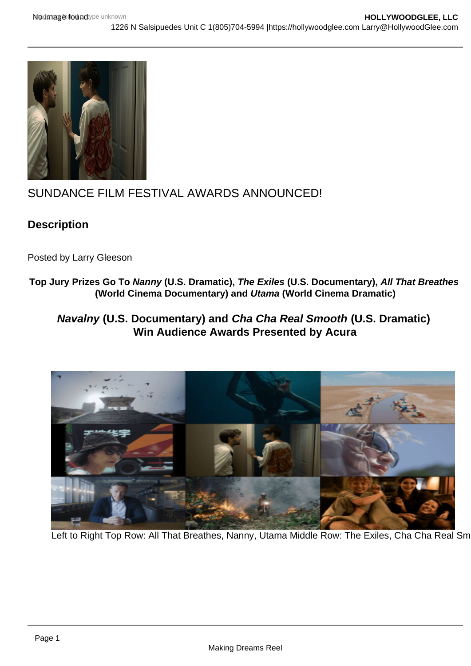# SUNDANCE FILM FESTIVAL AWARDS ANNOUNCED!

**Description** 

Posted by Larry Gleeson

- Top Jury Prizes Go To Nanny (U.S. Dramatic) , The Exiles (U.S. Documentary), All That Breathes (World Cinema Documentary) and Utama (World Cinema Dramatic)
	- Navalny (U.S. Documentary) and Cha Cha Real Smooth (U.S. Dramatic) Win Audience Awards Presented by Acura

Left to Right Top Row: All That Breathes, Nanny, Utama Middle Row: The Exiles, Cha Cha Real Sm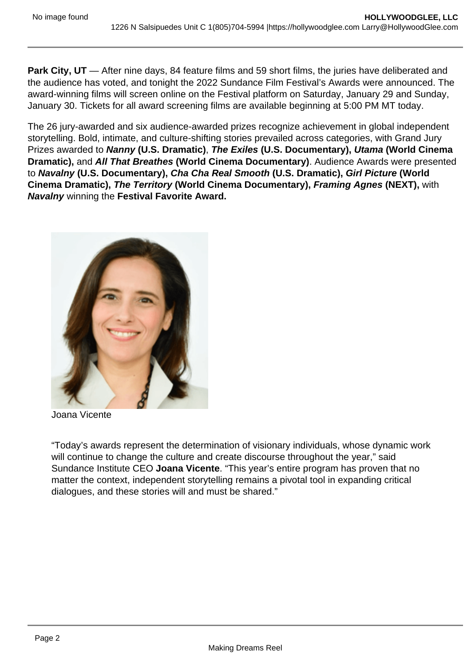Park City, UT — After nine days, 84 feature films and 59 short films, the juries have deliberated and the audience has voted, and tonight the 2022 Sundance Film Festival's Awards were announced. The award-winning films will screen online on the Festival platform on Saturday, January 29 and Sunday, January 30. Tickets for all award screening films are available beginning at 5:00 PM MT today.

The 26 jury-awarded and six audience-awarded prizes recognize achievement in global independent storytelling. Bold, intimate, and culture-shifting stories prevailed across categories, with Grand Jury Prizes awarded to Nanny (U.S. Dramatic) , The Exiles (U.S. Documentary), Utama (World Cinema Dramatic), and All That Breathes (World Cinema Documentary) . Audience Awards were presented to Navalny (U.S. Documentary), Cha Cha Real Smooth (U.S. Dramatic), Girl Picture (World Cinema Dramatic), The Territory (World Cinema Documentary), Framing Agnes (NEXT), with Navalny winning the Festival Favorite Award.

Joana Vicente

"Today's awards represent the determination of visionary individuals, whose dynamic work will continue to change the culture and create discourse throughout the year," said Sundance Institute CEO Joana Vicente . "This year's entire program has proven that no matter the context, independent storytelling remains a pivotal tool in expanding critical dialogues, and these stories will and must be shared."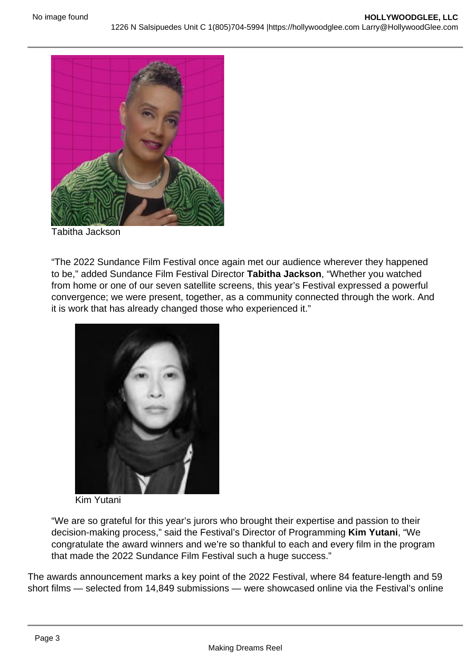Tabitha Jackson

"The 2022 Sundance Film Festival once again met our audience wherever they happened to be," added Sundance Film Festival Director Tabitha Jackson , "Whether you watched from home or one of our seven satellite screens, this year's Festival expressed a powerful convergence; we were present, together, as a community connected through the work. And it is work that has already changed those who experienced it."

### Kim Yutani

"We are so grateful for this year's jurors who brought their expertise and passion to their decision-making process," said the Festival's Director of Programming Kim Yutani , "We congratulate the award winners and we're so thankful to each and every film in the program that made the 2022 Sundance Film Festival such a huge success."

The awards announcement marks a key point of the 2022 Festival, where 84 feature-length and 59 short films — selected from 14,849 submissions — were showcased online via the Festival's online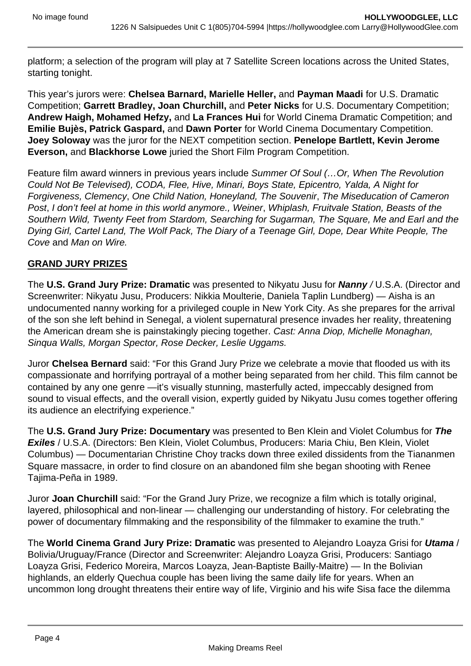platform; a selection of the program will play at 7 Satellite Screen locations across the United States, starting tonight.

This year's jurors were: **Chelsea Barnard, Marielle Heller,** and **Payman Maadi** for U.S. Dramatic Competition; **Garrett Bradley, Joan Churchill,** and **Peter Nicks** for U.S. Documentary Competition; **Andrew Haigh, Mohamed Hefzy,** and **La Frances Hui** for World Cinema Dramatic Competition; and **Emilie Bujès, Patrick Gaspard,** and **Dawn Porter** for World Cinema Documentary Competition. **Joey Soloway** was the juror for the NEXT competition section. **Penelope Bartlett, Kevin Jerome Everson,** and **Blackhorse Lowe** juried the Short Film Program Competition.

Feature film award winners in previous years include Summer Of Soul (... Or, When The Revolution Could Not Be Televised), CODA, Flee, Hive, Minari, Boys State, Epicentro, Yalda, A Night for Forgiveness, Clemency, One Child Nation, Honeyland, The Souvenir, The Miseducation of Cameron Post, I don't feel at home in this world anymore., Weiner, Whiplash, Fruitvale Station, Beasts of the Southern Wild, Twenty Feet from Stardom, Searching for Sugarman, The Square, Me and Earl and the Dying Girl, Cartel Land, The Wolf Pack, The Diary of a Teenage Girl, Dope, Dear White People, The Cove and Man on Wire.

# **GRAND JURY PRIZES**

The **U.S. Grand Jury Prize: Dramatic** was presented to Nikyatu Jusu for **Nanny** / U.S.A. (Director and Screenwriter: Nikyatu Jusu, Producers: Nikkia Moulterie, Daniela Taplin Lundberg) — Aisha is an undocumented nanny working for a privileged couple in New York City. As she prepares for the arrival of the son she left behind in Senegal, a violent supernatural presence invades her reality, threatening the American dream she is painstakingly piecing together. Cast: Anna Diop, Michelle Monaghan, Sinqua Walls, Morgan Spector, Rose Decker, Leslie Uggams.

Juror **Chelsea Bernard** said: "For this Grand Jury Prize we celebrate a movie that flooded us with its compassionate and horrifying portrayal of a mother being separated from her child. This film cannot be contained by any one genre —it's visually stunning, masterfully acted, impeccably designed from sound to visual effects, and the overall vision, expertly guided by Nikyatu Jusu comes together offering its audience an electrifying experience."

The **U.S. Grand Jury Prize: Documentary** was presented to Ben Klein and Violet Columbus for **The Exiles** / U.S.A. (Directors: Ben Klein, Violet Columbus, Producers: Maria Chiu, Ben Klein, Violet Columbus) — Documentarian Christine Choy tracks down three exiled dissidents from the Tiananmen Square massacre, in order to find closure on an abandoned film she began shooting with Renee Tajima-Peña in 1989.

Juror **Joan Churchill** said: "For the Grand Jury Prize, we recognize a film which is totally original, layered, philosophical and non-linear — challenging our understanding of history. For celebrating the power of documentary filmmaking and the responsibility of the filmmaker to examine the truth."

The **World Cinema Grand Jury Prize: Dramatic** was presented to Alejandro Loayza Grisi for **Utama** / Bolivia/Uruguay/France (Director and Screenwriter: Alejandro Loayza Grisi, Producers: Santiago Loayza Grisi, Federico Moreira, Marcos Loayza, Jean-Baptiste Bailly-Maitre) — In the Bolivian highlands, an elderly Quechua couple has been living the same daily life for years. When an uncommon long drought threatens their entire way of life, Virginio and his wife Sisa face the dilemma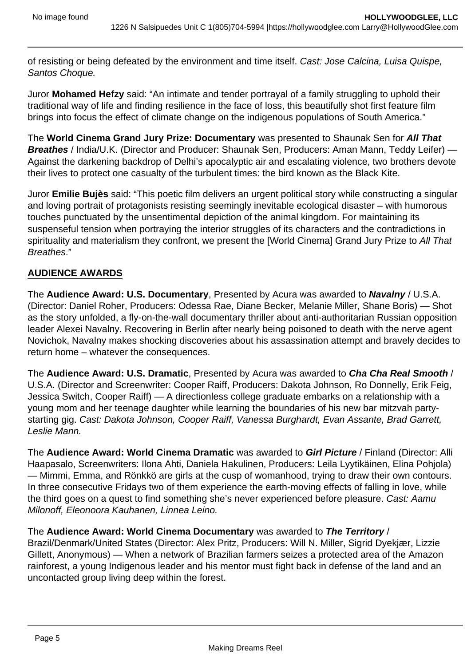of resisting or being defeated by the environment and time itself. Cast: Jose Calcina, Luisa Quispe, Santos Choque.

Juror **Mohamed Hefzy** said: "An intimate and tender portrayal of a family struggling to uphold their traditional way of life and finding resilience in the face of loss, this beautifully shot first feature film brings into focus the effect of climate change on the indigenous populations of South America."

The **World Cinema Grand Jury Prize: Documentary** was presented to Shaunak Sen for **All That Breathes** / India/U.K. (Director and Producer: Shaunak Sen, Producers: Aman Mann, Teddy Leifer) -Against the darkening backdrop of Delhi's apocalyptic air and escalating violence, two brothers devote their lives to protect one casualty of the turbulent times: the bird known as the Black Kite.

Juror **Emilie Bujès** said: "This poetic film delivers an urgent political story while constructing a singular and loving portrait of protagonists resisting seemingly inevitable ecological disaster – with humorous touches punctuated by the unsentimental depiction of the animal kingdom. For maintaining its suspenseful tension when portraying the interior struggles of its characters and the contradictions in spirituality and materialism they confront, we present the [World Cinema] Grand Jury Prize to All That Breathes."

# **AUDIENCE AWARDS**

The **Audience Award: U.S. Documentary**, Presented by Acura was awarded to **Navalny** / U.S.A. (Director: Daniel Roher, Producers: Odessa Rae, Diane Becker, Melanie Miller, Shane Boris) — Shot as the story unfolded, a fly-on-the-wall documentary thriller about anti-authoritarian Russian opposition leader Alexei Navalny. Recovering in Berlin after nearly being poisoned to death with the nerve agent Novichok, Navalny makes shocking discoveries about his assassination attempt and bravely decides to return home – whatever the consequences.

The **Audience Award: U.S. Dramatic**, Presented by Acura was awarded to **Cha Cha Real Smooth** / U.S.A. (Director and Screenwriter: Cooper Raiff, Producers: Dakota Johnson, Ro Donnelly, Erik Feig, Jessica Switch, Cooper Raiff) — A directionless college graduate embarks on a relationship with a young mom and her teenage daughter while learning the boundaries of his new bar mitzvah partystarting gig. Cast: Dakota Johnson, Cooper Raiff, Vanessa Burghardt, Evan Assante, Brad Garrett, Leslie Mann.

The **Audience Award: World Cinema Dramatic** was awarded to **Girl Picture** / Finland (Director: Alli Haapasalo, Screenwriters: Ilona Ahti, Daniela Hakulinen, Producers: Leila Lyytikäinen, Elina Pohjola) — Mimmi, Emma, and Rönkkö are girls at the cusp of womanhood, trying to draw their own contours. In three consecutive Fridays two of them experience the earth-moving effects of falling in love, while the third goes on a quest to find something she's never experienced before pleasure. Cast: Aamu Milonoff, Eleonoora Kauhanen, Linnea Leino.

### The **Audience Award: World Cinema Documentary** was awarded to **The Territory** /

Brazil/Denmark/United States (Director: Alex Pritz, Producers: Will N. Miller, Sigrid Dyekjær, Lizzie Gillett, Anonymous) — When a network of Brazilian farmers seizes a protected area of the Amazon rainforest, a young Indigenous leader and his mentor must fight back in defense of the land and an uncontacted group living deep within the forest.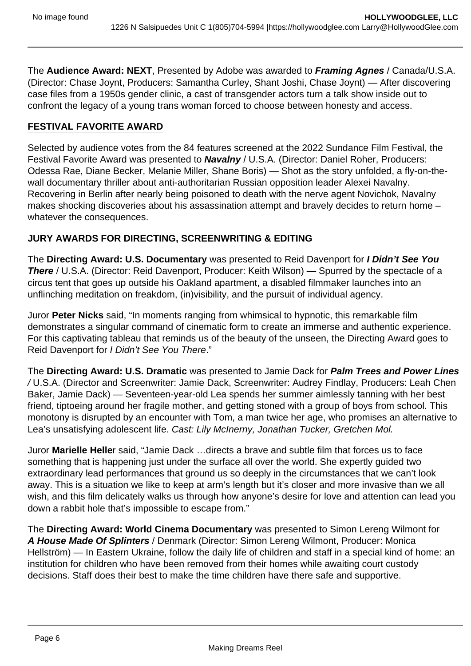The **Audience Award: NEXT**, Presented by Adobe was awarded to **Framing Agnes** / Canada/U.S.A. (Director: Chase Joynt, Producers: Samantha Curley, Shant Joshi, Chase Joynt) — After discovering case files from a 1950s gender clinic, a cast of transgender actors turn a talk show inside out to confront the legacy of a young trans woman forced to choose between honesty and access.

# **FESTIVAL FAVORITE AWARD**

Selected by audience votes from the 84 features screened at the 2022 Sundance Film Festival, the Festival Favorite Award was presented to **Navalny** / U.S.A. (Director: Daniel Roher, Producers: Odessa Rae, Diane Becker, Melanie Miller, Shane Boris) — Shot as the story unfolded, a fly-on-thewall documentary thriller about anti-authoritarian Russian opposition leader Alexei Navalny. Recovering in Berlin after nearly being poisoned to death with the nerve agent Novichok, Navalny makes shocking discoveries about his assassination attempt and bravely decides to return home – whatever the consequences.

# **JURY AWARDS FOR DIRECTING, SCREENWRITING & EDITING**

The **Directing Award: U.S. Documentary** was presented to Reid Davenport for **I Didn't See You There** / U.S.A. (Director: Reid Davenport, Producer: Keith Wilson) — Spurred by the spectacle of a circus tent that goes up outside his Oakland apartment, a disabled filmmaker launches into an unflinching meditation on freakdom, (in)visibility, and the pursuit of individual agency.

Juror **Peter Nicks** said, "In moments ranging from whimsical to hypnotic, this remarkable film demonstrates a singular command of cinematic form to create an immerse and authentic experience. For this captivating tableau that reminds us of the beauty of the unseen, the Directing Award goes to Reid Davenport for I Didn't See You There."

The **Directing Award: U.S. Dramatic** was presented to Jamie Dack for **Palm Trees and Power Lines**  / U.S.A. (Director and Screenwriter: Jamie Dack, Screenwriter: Audrey Findlay, Producers: Leah Chen Baker, Jamie Dack) — Seventeen-year-old Lea spends her summer aimlessly tanning with her best friend, tiptoeing around her fragile mother, and getting stoned with a group of boys from school. This monotony is disrupted by an encounter with Tom, a man twice her age, who promises an alternative to Lea's unsatisfying adolescent life. Cast: Lily McInerny, Jonathan Tucker, Gretchen Mol.

Juror **Marielle Helle**r said, "Jamie Dack …directs a brave and subtle film that forces us to face something that is happening just under the surface all over the world. She expertly guided two extraordinary lead performances that ground us so deeply in the circumstances that we can't look away. This is a situation we like to keep at arm's length but it's closer and more invasive than we all wish, and this film delicately walks us through how anyone's desire for love and attention can lead you down a rabbit hole that's impossible to escape from."

The **Directing Award: World Cinema Documentary** was presented to Simon Lereng Wilmont for **A House Made Of Splinters** / Denmark (Director: Simon Lereng Wilmont, Producer: Monica Hellström) — In Eastern Ukraine, follow the daily life of children and staff in a special kind of home: an institution for children who have been removed from their homes while awaiting court custody decisions. Staff does their best to make the time children have there safe and supportive.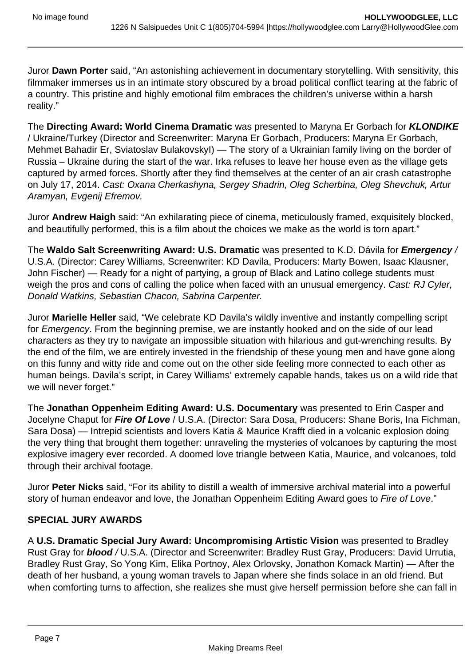Juror **Dawn Porter** said, "An astonishing achievement in documentary storytelling. With sensitivity, this filmmaker immerses us in an intimate story obscured by a broad political conflict tearing at the fabric of a country. This pristine and highly emotional film embraces the children's universe within a harsh reality."

The **Directing Award: World Cinema Dramatic** was presented to Maryna Er Gorbach for **KLONDIKE**  / Ukraine/Turkey (Director and Screenwriter: Maryna Er Gorbach, Producers: Maryna Er Gorbach, Mehmet Bahadir Er, Sviatoslav Bulakovskyl) — The story of a Ukrainian family living on the border of Russia – Ukraine during the start of the war. Irka refuses to leave her house even as the village gets captured by armed forces. Shortly after they find themselves at the center of an air crash catastrophe on July 17, 2014. Cast: Oxana Cherkashyna, Sergey Shadrin, Oleg Scherbina, Oleg Shevchuk, Artur Aramyan, Evgenij Efremov.

Juror **Andrew Haigh** said: "An exhilarating piece of cinema, meticulously framed, exquisitely blocked, and beautifully performed, this is a film about the choices we make as the world is torn apart."

The **Waldo Salt Screenwriting Award: U.S. Dramatic** was presented to K.D. Dávila for **Emergency** / U.S.A. (Director: Carey Williams, Screenwriter: KD Davila, Producers: Marty Bowen, Isaac Klausner, John Fischer) — Ready for a night of partying, a group of Black and Latino college students must weigh the pros and cons of calling the police when faced with an unusual emergency. Cast: RJ Cyler, Donald Watkins, Sebastian Chacon, Sabrina Carpenter.

Juror **Marielle Heller** said, "We celebrate KD Davila's wildly inventive and instantly compelling script for Emergency. From the beginning premise, we are instantly hooked and on the side of our lead characters as they try to navigate an impossible situation with hilarious and gut-wrenching results. By the end of the film, we are entirely invested in the friendship of these young men and have gone along on this funny and witty ride and come out on the other side feeling more connected to each other as human beings. Davila's script, in Carey Williams' extremely capable hands, takes us on a wild ride that we will never forget."

The **Jonathan Oppenheim Editing Award: U.S. Documentary** was presented to Erin Casper and Jocelyne Chaput for **Fire Of Love** / U.S.A. (Director: Sara Dosa, Producers: Shane Boris, Ina Fichman, Sara Dosa) — Intrepid scientists and lovers Katia & Maurice Krafft died in a volcanic explosion doing the very thing that brought them together: unraveling the mysteries of volcanoes by capturing the most explosive imagery ever recorded. A doomed love triangle between Katia, Maurice, and volcanoes, told through their archival footage.

Juror **Peter Nicks** said, "For its ability to distill a wealth of immersive archival material into a powerful story of human endeavor and love, the Jonathan Oppenheim Editing Award goes to Fire of Love."

# **SPECIAL JURY AWARDS**

A **U.S. Dramatic Special Jury Award: Uncompromising Artistic Vision** was presented to Bradley Rust Gray for **blood** / U.S.A. (Director and Screenwriter: Bradley Rust Gray, Producers: David Urrutia, Bradley Rust Gray, So Yong Kim, Elika Portnoy, Alex Orlovsky, Jonathon Komack Martin) — After the death of her husband, a young woman travels to Japan where she finds solace in an old friend. But when comforting turns to affection, she realizes she must give herself permission before she can fall in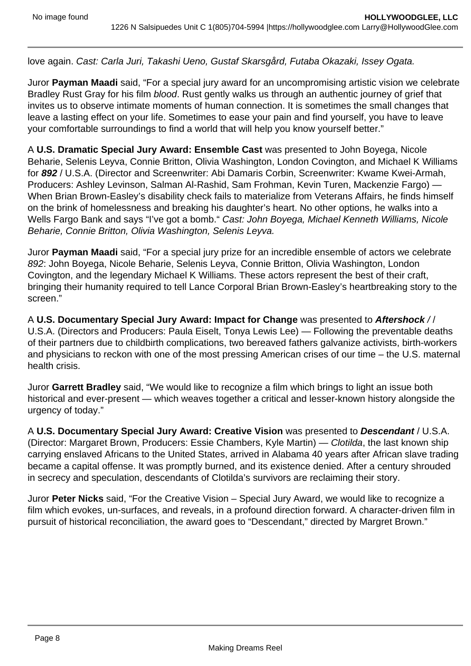love again. Cast: Carla Juri, Takashi Ueno, Gustaf Skarsgård, Futaba Okazaki, Issey Ogata.

Juror **Payman Maadi** said, "For a special jury award for an uncompromising artistic vision we celebrate Bradley Rust Gray for his film blood. Rust gently walks us through an authentic journey of grief that invites us to observe intimate moments of human connection. It is sometimes the small changes that leave a lasting effect on your life. Sometimes to ease your pain and find yourself, you have to leave your comfortable surroundings to find a world that will help you know yourself better."

A **U.S. Dramatic Special Jury Award: Ensemble Cast** was presented to John Boyega, Nicole Beharie, Selenis Leyva, Connie Britton, Olivia Washington, London Covington, and Michael K Williams for **892** / U.S.A. (Director and Screenwriter: Abi Damaris Corbin, Screenwriter: Kwame Kwei-Armah, Producers: Ashley Levinson, Salman Al-Rashid, Sam Frohman, Kevin Turen, Mackenzie Fargo) — When Brian Brown-Easley's disability check fails to materialize from Veterans Affairs, he finds himself on the brink of homelessness and breaking his daughter's heart. No other options, he walks into a Wells Fargo Bank and says "I've got a bomb." Cast: John Boyega, Michael Kenneth Williams, Nicole Beharie, Connie Britton, Olivia Washington, Selenis Leyva.

Juror **Payman Maadi** said, "For a special jury prize for an incredible ensemble of actors we celebrate 892: John Boyega, Nicole Beharie, Selenis Leyva, Connie Britton, Olivia Washington, London Covington, and the legendary Michael K Williams. These actors represent the best of their craft, bringing their humanity required to tell Lance Corporal Brian Brown-Easley's heartbreaking story to the screen."

A **U.S. Documentary Special Jury Award: Impact for Change** was presented to **Aftershock** / / U.S.A. (Directors and Producers: Paula Eiselt, Tonya Lewis Lee) — Following the preventable deaths of their partners due to childbirth complications, two bereaved fathers galvanize activists, birth-workers and physicians to reckon with one of the most pressing American crises of our time – the U.S. maternal health crisis.

Juror **Garrett Bradley** said, "We would like to recognize a film which brings to light an issue both historical and ever-present — which weaves together a critical and lesser-known history alongside the urgency of today."

A **U.S. Documentary Special Jury Award: Creative Vision** was presented to **Descendant** / U.S.A. (Director: Margaret Brown, Producers: Essie Chambers, Kyle Martin) — Clotilda, the last known ship carrying enslaved Africans to the United States, arrived in Alabama 40 years after African slave trading became a capital offense. It was promptly burned, and its existence denied. After a century shrouded in secrecy and speculation, descendants of Clotilda's survivors are reclaiming their story.

Juror **Peter Nicks** said, "For the Creative Vision – Special Jury Award, we would like to recognize a film which evokes, un-surfaces, and reveals, in a profound direction forward. A character-driven film in pursuit of historical reconciliation, the award goes to "Descendant," directed by Margret Brown."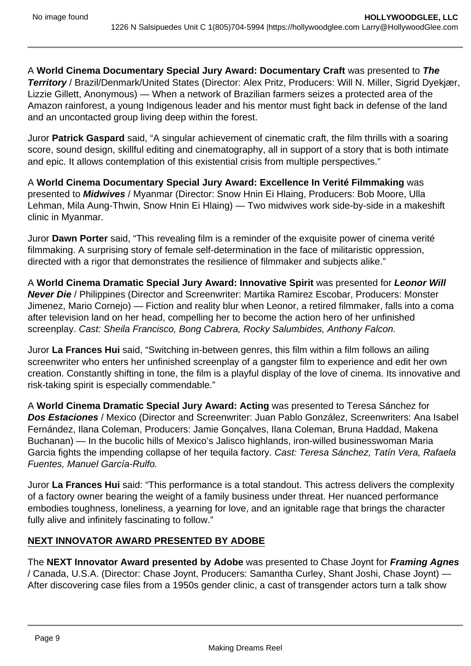A **World Cinema Documentary Special Jury Award: Documentary Craft** was presented to **The Territory** / Brazil/Denmark/United States (Director: Alex Pritz, Producers: Will N. Miller, Sigrid Dyekjær, Lizzie Gillett, Anonymous) — When a network of Brazilian farmers seizes a protected area of the Amazon rainforest, a young Indigenous leader and his mentor must fight back in defense of the land and an uncontacted group living deep within the forest.

Juror **Patrick Gaspard** said, "A singular achievement of cinematic craft, the film thrills with a soaring score, sound design, skillful editing and cinematography, all in support of a story that is both intimate and epic. It allows contemplation of this existential crisis from multiple perspectives."

A **World Cinema Documentary Special Jury Award: Excellence In Verité Filmmaking** was presented to **Midwives** / Myanmar (Director: Snow Hnin Ei Hlaing, Producers: Bob Moore, Ulla Lehman, Mila Aung-Thwin, Snow Hnin Ei Hlaing) — Two midwives work side-by-side in a makeshift clinic in Myanmar.

Juror **Dawn Porter** said, "This revealing film is a reminder of the exquisite power of cinema verité filmmaking. A surprising story of female self-determination in the face of militaristic oppression, directed with a rigor that demonstrates the resilience of filmmaker and subjects alike."

A **World Cinema Dramatic Special Jury Award: Innovative Spirit** was presented for **Leonor Will Never Die** / Philippines (Director and Screenwriter: Martika Ramirez Escobar, Producers: Monster Jimenez, Mario Cornejo) — Fiction and reality blur when Leonor, a retired filmmaker, falls into a coma after television land on her head, compelling her to become the action hero of her unfinished screenplay. Cast: Sheila Francisco, Bong Cabrera, Rocky Salumbides, Anthony Falcon.

Juror **La Frances Hui** said, "Switching in-between genres, this film within a film follows an ailing screenwriter who enters her unfinished screenplay of a gangster film to experience and edit her own creation. Constantly shifting in tone, the film is a playful display of the love of cinema. Its innovative and risk-taking spirit is especially commendable."

A **World Cinema Dramatic Special Jury Award: Acting** was presented to Teresa Sánchez for **Dos Estaciones** / Mexico (Director and Screenwriter: Juan Pablo González, Screenwriters: Ana Isabel Fernández, Ilana Coleman, Producers: Jamie Gonçalves, Ilana Coleman, Bruna Haddad, Makena Buchanan) — In the bucolic hills of Mexico's Jalisco highlands, iron-willed businesswoman Maria Garcia fights the impending collapse of her tequila factory. Cast: Teresa Sánchez, Tatín Vera, Rafaela Fuentes, Manuel García-Rulfo.

Juror **La Frances Hui** said: "This performance is a total standout. This actress delivers the complexity of a factory owner bearing the weight of a family business under threat. Her nuanced performance embodies toughness, loneliness, a yearning for love, and an ignitable rage that brings the character fully alive and infinitely fascinating to follow."

# **NEXT INNOVATOR AWARD PRESENTED BY ADOBE**

The **NEXT Innovator Award presented by Adobe** was presented to Chase Joynt for **Framing Agnes**  / Canada, U.S.A. (Director: Chase Joynt, Producers: Samantha Curley, Shant Joshi, Chase Joynt) — After discovering case files from a 1950s gender clinic, a cast of transgender actors turn a talk show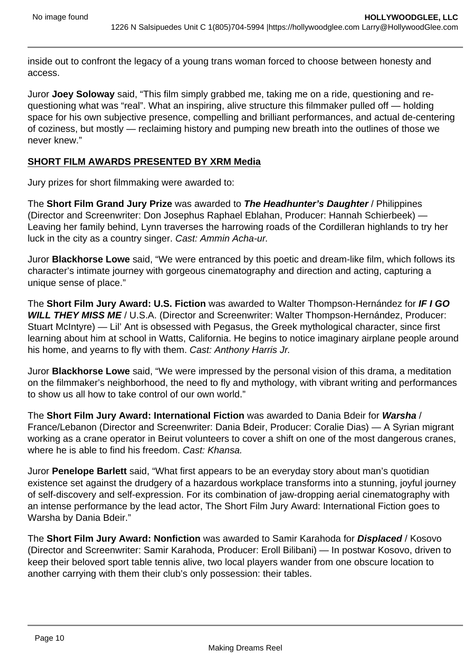inside out to confront the legacy of a young trans woman forced to choose between honesty and access.

Juror **Joey Soloway** said, "This film simply grabbed me, taking me on a ride, questioning and requestioning what was "real". What an inspiring, alive structure this filmmaker pulled off — holding space for his own subjective presence, compelling and brilliant performances, and actual de-centering of coziness, but mostly — reclaiming history and pumping new breath into the outlines of those we never knew."

# **SHORT FILM AWARDS PRESENTED BY XRM Media**

Jury prizes for short filmmaking were awarded to:

The **Short Film Grand Jury Prize** was awarded to **The Headhunter's Daughter** / Philippines (Director and Screenwriter: Don Josephus Raphael Eblahan, Producer: Hannah Schierbeek) — Leaving her family behind, Lynn traverses the harrowing roads of the Cordilleran highlands to try her luck in the city as a country singer. Cast: Ammin Acha-ur.

Juror **Blackhorse Lowe** said, "We were entranced by this poetic and dream-like film, which follows its character's intimate journey with gorgeous cinematography and direction and acting, capturing a unique sense of place."

The **Short Film Jury Award: U.S. Fiction** was awarded to Walter Thompson-Hernández for **IF I GO WILL THEY MISS ME** / U.S.A. (Director and Screenwriter: Walter Thompson-Hernández, Producer: Stuart McIntyre) — Lil' Ant is obsessed with Pegasus, the Greek mythological character, since first learning about him at school in Watts, California. He begins to notice imaginary airplane people around his home, and yearns to fly with them. Cast: Anthony Harris Jr.

Juror **Blackhorse Lowe** said, "We were impressed by the personal vision of this drama, a meditation on the filmmaker's neighborhood, the need to fly and mythology, with vibrant writing and performances to show us all how to take control of our own world."

The **Short Film Jury Award: International Fiction** was awarded to Dania Bdeir for **Warsha** / France/Lebanon (Director and Screenwriter: Dania Bdeir, Producer: Coralie Dias) — A Syrian migrant working as a crane operator in Beirut volunteers to cover a shift on one of the most dangerous cranes, where he is able to find his freedom. Cast: Khansa.

Juror **Penelope Barlett** said, "What first appears to be an everyday story about man's quotidian existence set against the drudgery of a hazardous workplace transforms into a stunning, joyful journey of self-discovery and self-expression. For its combination of jaw-dropping aerial cinematography with an intense performance by the lead actor, The Short Film Jury Award: International Fiction goes to Warsha by Dania Bdeir."

The **Short Film Jury Award: Nonfiction** was awarded to Samir Karahoda for **Displaced** / Kosovo (Director and Screenwriter: Samir Karahoda, Producer: Eroll Bilibani) — In postwar Kosovo, driven to keep their beloved sport table tennis alive, two local players wander from one obscure location to another carrying with them their club's only possession: their tables.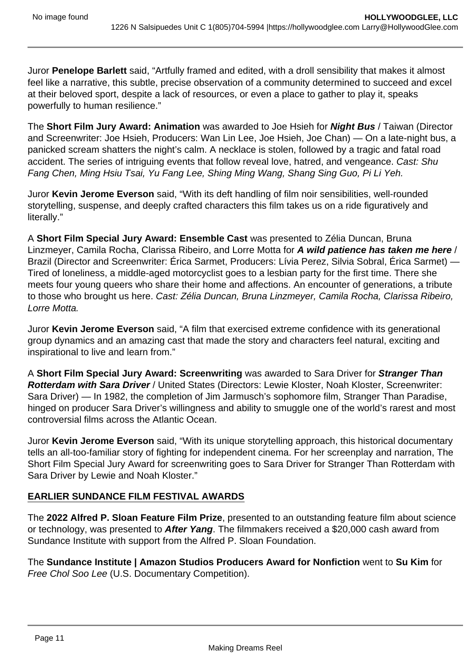Juror **Penelope Barlett** said, "Artfully framed and edited, with a droll sensibility that makes it almost feel like a narrative, this subtle, precise observation of a community determined to succeed and excel at their beloved sport, despite a lack of resources, or even a place to gather to play it, speaks powerfully to human resilience."

The **Short Film Jury Award: Animation** was awarded to Joe Hsieh for **Night Bus** / Taiwan (Director and Screenwriter: Joe Hsieh, Producers: Wan Lin Lee, Joe Hsieh, Joe Chan) — On a late-night bus, a panicked scream shatters the night's calm. A necklace is stolen, followed by a tragic and fatal road accident. The series of intriguing events that follow reveal love, hatred, and vengeance. Cast: Shu Fang Chen, Ming Hsiu Tsai, Yu Fang Lee, Shing Ming Wang, Shang Sing Guo, Pi Li Yeh.

Juror **Kevin Jerome Everson** said, "With its deft handling of film noir sensibilities, well-rounded storytelling, suspense, and deeply crafted characters this film takes us on a ride figuratively and literally."

A **Short Film Special Jury Award: Ensemble Cast** was presented to Zélia Duncan, Bruna Linzmeyer, Camila Rocha, Clarissa Ribeiro, and Lorre Motta for **A wild patience has taken me here** / Brazil (Director and Screenwriter: Érica Sarmet, Producers: Lívia Perez, Silvia Sobral, Érica Sarmet) — Tired of loneliness, a middle-aged motorcyclist goes to a lesbian party for the first time. There she meets four young queers who share their home and affections. An encounter of generations, a tribute to those who brought us here. Cast: Zélia Duncan, Bruna Linzmeyer, Camila Rocha, Clarissa Ribeiro, Lorre Motta.

Juror **Kevin Jerome Everson** said, "A film that exercised extreme confidence with its generational group dynamics and an amazing cast that made the story and characters feel natural, exciting and inspirational to live and learn from."

A **Short Film Special Jury Award: Screenwriting** was awarded to Sara Driver for **Stranger Than Rotterdam with Sara Driver** / United States (Directors: Lewie Kloster, Noah Kloster, Screenwriter: Sara Driver) — In 1982, the completion of Jim Jarmusch's sophomore film, Stranger Than Paradise, hinged on producer Sara Driver's willingness and ability to smuggle one of the world's rarest and most controversial films across the Atlantic Ocean.

Juror **Kevin Jerome Everson** said, "With its unique storytelling approach, this historical documentary tells an all-too-familiar story of fighting for independent cinema. For her screenplay and narration, The Short Film Special Jury Award for screenwriting goes to Sara Driver for Stranger Than Rotterdam with Sara Driver by Lewie and Noah Kloster."

# **EARLIER SUNDANCE FILM FESTIVAL AWARDS**

The **2022 Alfred P. Sloan Feature Film Prize**, presented to an outstanding feature film about science or technology, was presented to **After Yang**. The filmmakers received a \$20,000 cash award from Sundance Institute with support from the Alfred P. Sloan Foundation.

The **Sundance Institute | Amazon Studios Producers Award for Nonfiction** went to **Su Kim** for Free Chol Soo Lee (U.S. Documentary Competition).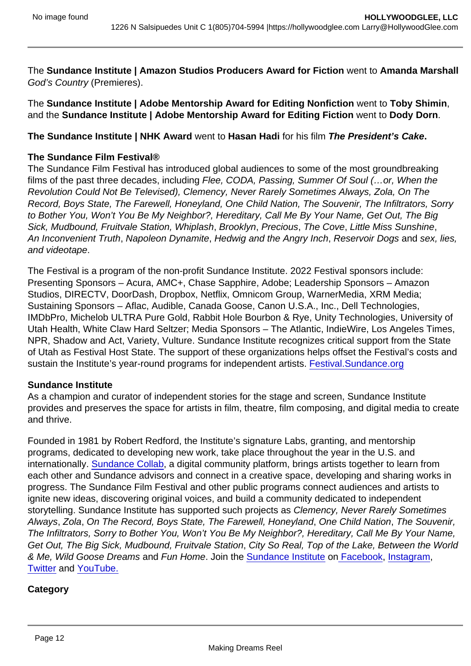The Sundance Institute | Amazon Studios Producers Award for Fiction went to Amanda Marshall God's Country (Premieres).

The Sundance Institute | Adobe Mentorship Award for Editing Nonfiction went to Toby Shimin, and the Sundance Institute | Adobe Mentorship Award for Editing Fiction went to Dody Dorn.

The Sundance Institute | NHK Award went to Hasan Hadi for his film The President's Cake .

### The Sundance Film Festival®

The Sundance Film Festival has introduced global audiences to some of the most groundbreaking films of the past three decades, including Flee, CODA, Passing, Summer Of Soul (…or, When the Revolution Could Not Be Televised), Clemency, Never Rarely Sometimes Always, Zola, On The Record, Boys State, The Farewell, Honeyland, One Child Nation, The Souvenir, The Infiltrators, Sorry to Bother You, Won't You Be My Neighbor?, Hereditary, Call Me By Your Name, Get Out, The Big Sick, Mudbound, Fruitvale Station, Whiplash, Brooklyn, Precious, The Cove, Little Miss Sunshine, An Inconvenient Truth, Napoleon Dynamite, Hedwig and the Angry Inch, Reservoir Dogs and sex, lies, and videotape.

The Festival is a program of the non-profit Sundance Institute. 2022 Festival sponsors include: Presenting Sponsors – Acura, AMC+, Chase Sapphire, Adobe; Leadership Sponsors – Amazon Studios, DIRECTV, DoorDash, Dropbox, Netflix, Omnicom Group, WarnerMedia, XRM Media; Sustaining Sponsors – Aflac, Audible, Canada Goose, Canon U.S.A., Inc., Dell Technologies, IMDbPro, Michelob ULTRA Pure Gold, Rabbit Hole Bourbon & Rye, Unity Technologies, University of Utah Health, White Claw Hard Seltzer; Media Sponsors – The Atlantic, IndieWire, Los Angeles Times, NPR, Shadow and Act, Variety, Vulture. Sundance Institute recognizes critical support from the State of Utah as Festival Host State. The support of these organizations helps offset the Festival's costs and sustain the Institute's year-round programs for independent artists. [Festival.Sundance.org](https://sundance.us10.list-manage.com/track/click?u=d2b7ca60af6d00b0be91a01af&id=7068b3c297&e=6173c7d5f6)

### Sundance Institute

As a champion and curator of independent stories for the stage and screen, Sundance Institute provides and preserves the space for artists in film, theatre, film composing, and digital media to create and thrive.

Founded in 1981 by Robert Redford, the Institute's signature Labs, granting, and mentorship programs, dedicated to developing new work, take place throughout the year in the U.S. and internationally. [Sundance Collab](https://sundance.us10.list-manage.com/track/click?u=d2b7ca60af6d00b0be91a01af&id=485cfe13b4&e=6173c7d5f6), a digital community platform, brings artists together to learn from each other and Sundance advisors and connect in a creative space, developing and sharing works in progress. The Sundance Film Festival and other public programs connect audiences and artists to ignite new ideas, discovering original voices, and build a community dedicated to independent storytelling. Sundance Institute has supported such projects as Clemency, Never Rarely Sometimes Always, Zola, On The Record, Boys State, The Farewell, Honeyland, One Child Nation, The Souvenir, The Infiltrators, Sorry to Bother You, Won't You Be My Neighbor?, Hereditary, Call Me By Your Name, Get Out, The Big Sick, Mudbound, Fruitvale Station, City So Real, Top of the Lake, Between the World & Me, Wild Goose Dreams and Fun Home. Join the [Sundance Institute](https://sundance.us10.list-manage.com/track/click?u=d2b7ca60af6d00b0be91a01af&id=965f993cb1&e=6173c7d5f6) on [Facebook,](https://sundance.us10.list-manage.com/track/click?u=d2b7ca60af6d00b0be91a01af&id=e9d13022a9&e=6173c7d5f6) [Instagram,](https://sundance.us10.list-manage.com/track/click?u=d2b7ca60af6d00b0be91a01af&id=d31b79b64e&e=6173c7d5f6) [Twitter](https://sundance.us10.list-manage.com/track/click?u=d2b7ca60af6d00b0be91a01af&id=2a51f1c034&e=6173c7d5f6) and [YouTube.](https://sundance.us10.list-manage.com/track/click?u=d2b7ca60af6d00b0be91a01af&id=ec4e05b639&e=6173c7d5f6)

**Category**